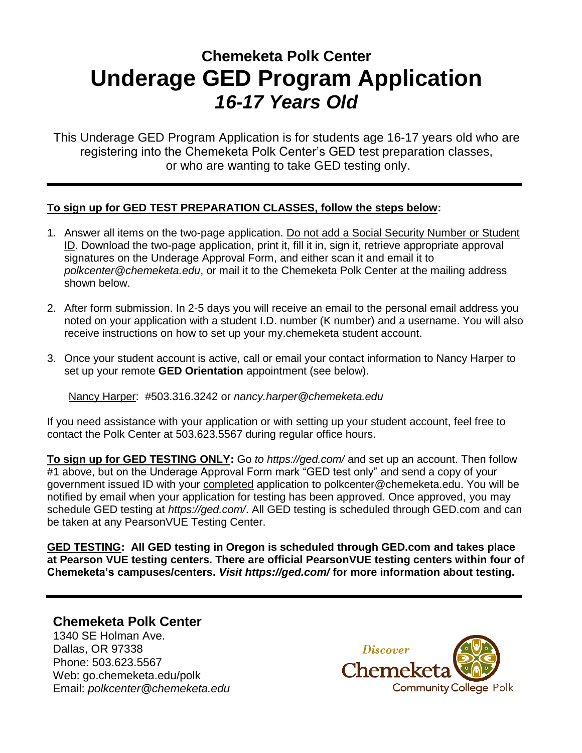# **Chemeketa Polk Center Underage GED Program Application** *16-17 Years Old*

This Underage GED Program Application is for students age 16-17 years old who are registering into the Chemeketa Polk Center's GED test preparation classes, or who are wanting to take GED testing only.

## **To sign up for GED TEST PREPARATION CLASSES, follow the steps below:**

- 1. Answer all items on the two-page application. Do not add a Social Security Number or Student ID. Download the two-page application, print it, fill it in, sign it, retrieve appropriate approval signatures on the Underage Approval Form, and either scan it and email it to *polkcenter@chemeketa.edu*, or mail it to the Chemeketa Polk Center at the mailing address shown below.
- 2. After form submission. In 2-5 days you will receive an email to the personal email address you noted on your application with a student I.D. number (K number) and a username. You will also receive instructions on how to set up your my.chemeketa student account.
- 3. Once your student account is active, call or email your contact information to Nancy Harper to set up your remote **GED Orientation** appointment (see below).

Nancy Harper: #503.316.3242 or *nancy.harper@chemeketa.edu*

If you need assistance with your application or with setting up your student account, feel free to contact the Polk Center at 503.623.5567 during regular office hours.

**To sign up for GED TESTING ONLY:** Go *to https://ged.com/* and set up an account. Then follow #1 above, but on the Underage Approval Form mark "GED test only" and send a copy of your government issued ID with your completed application to polkcenter@chemeketa.edu. You will be notified by email when your application for testing has been approved. Once approved, you may schedule GED testing at *https://ged.com/*. All GED testing is scheduled through GED.com and can be taken at any PearsonVUE Testing Center.

**GED TESTING: All GED testing in Oregon is scheduled through GED.com and takes place at Pearson VUE testing centers. There are official PearsonVUE testing centers within four of Chemeketa's campuses/centers.** *Visit https://ged.com/* **for more information about testing.**

## **Chemeketa Polk Center**

1340 SE Holman Ave. Dallas, OR 97338 Phone: 503.623.5567 Web: go.chemeketa.edu/polk Email: *polkcenter@chemeketa.edu*

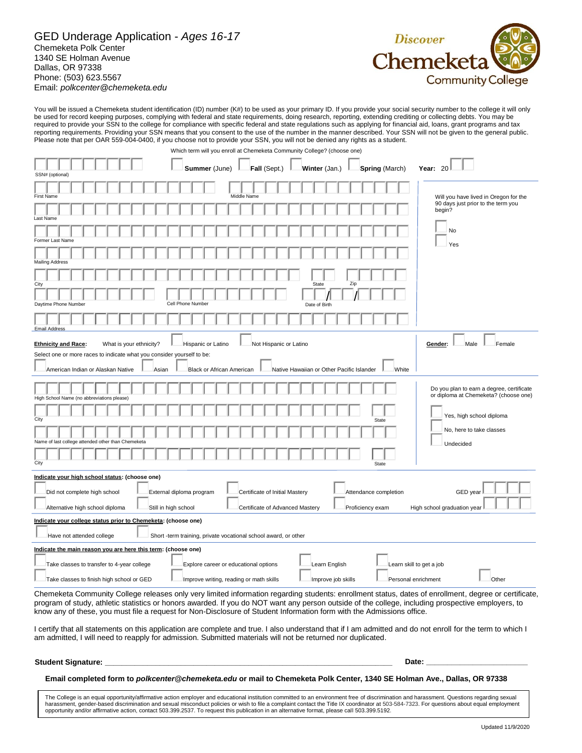GED Underage Application - *Ages 16-17* Chemeketa Polk Center 1340 SE Holman Avenue Dallas, OR 97338 Phone: (503) 623.5567 Email: *polkcenter@chemeketa.edu*



Which term will you enroll at Chemeketa Community College? (choose one) You will be issued a Chemeketa student identification (ID) number (K#) to be used as your primary ID. If you provide your social security number to the college it will only be used for record keeping purposes, complying with federal and state requirements, doing research, reporting, extending crediting or collecting debts. You may be required to provide your SSN to the college for compliance with specific federal and state regulations such as applying for financial aid, loans, grant programs and tax reporting requirements. Providing your SSN means that you consent to the use of the number in the manner described. Your SSN will not be given to the general public. Please note that per OAR 559-004-0400, if you choose not to provide your SSN, you will not be denied any rights as a student.

| SSN# (optional)                                                                                                                                                                                                                                                                                                                                                                                              | Fall (Sept.)<br>Winter (Jan.)<br>Summer (June)<br>Spring (March) | Year: $20$                                                                            |  |
|--------------------------------------------------------------------------------------------------------------------------------------------------------------------------------------------------------------------------------------------------------------------------------------------------------------------------------------------------------------------------------------------------------------|------------------------------------------------------------------|---------------------------------------------------------------------------------------|--|
| <b>First Name</b><br>Last Name                                                                                                                                                                                                                                                                                                                                                                               | Middle Name                                                      | Will you have lived in Oregon for the<br>90 days just prior to the term you<br>begin? |  |
| Former Last Name                                                                                                                                                                                                                                                                                                                                                                                             |                                                                  | No<br>Yes                                                                             |  |
| <b>Mailing Address</b>                                                                                                                                                                                                                                                                                                                                                                                       |                                                                  |                                                                                       |  |
| City                                                                                                                                                                                                                                                                                                                                                                                                         | Zip<br>State                                                     |                                                                                       |  |
| Daytime Phone Number                                                                                                                                                                                                                                                                                                                                                                                         | Cell Phone Number<br>Date of Birth                               |                                                                                       |  |
| <b>Email Address</b><br>What is your ethnicity?<br>Hispanic or Latino<br>Not Hispanic or Latino<br><b>Ethnicity and Race:</b><br>Gender:<br>Male<br>Female<br>Select one or more races to indicate what you consider yourself to be:<br>American Indian or Alaskan Native<br>Asian<br>Black or African American<br>Native Hawaiian or Other Pacific Islander<br>White                                        |                                                                  |                                                                                       |  |
| High School Name (no abbreviations please)                                                                                                                                                                                                                                                                                                                                                                   |                                                                  | Do you plan to earn a degree, certificate<br>or diploma at Chemeketa? (choose one)    |  |
| City                                                                                                                                                                                                                                                                                                                                                                                                         | <b>State</b>                                                     | Yes, high school diploma<br>No, here to take classes                                  |  |
| attended other than Chemeketa<br>Name of<br>City                                                                                                                                                                                                                                                                                                                                                             | State                                                            | Undecided                                                                             |  |
| Indicate your high school status: (choose one)<br>Did not complete high school<br>External diploma program<br>Certificate of Initial Mastery<br>GED year<br>Attendance completion<br>Alternative high school diploma<br>Still in high school<br>Certificate of Advanced Mastery<br>Proficiency exam<br>High school graduation year                                                                           |                                                                  |                                                                                       |  |
| Indicate your college status prior to Chemeketa: (choose one)<br>Have not attended college<br>Short -term training, private vocational school award, or other                                                                                                                                                                                                                                                |                                                                  |                                                                                       |  |
| Indicate the main reason you are here this term: (choose one)<br>Learn English<br>Learn skill to get a job<br>Take classes to transfer to 4-year college<br>Explore career or educational options<br>Other<br>Personal enrichment<br>Take classes to finish high school or GED<br>Improve writing, reading or math skills<br>Improve job skills<br>$-1 - 1 - 0 - 0$<br>and the continue of the first service |                                                                  |                                                                                       |  |

Chemeketa Community College releases only very limited information regarding students: enrollment status, dates of enrollment, degree or certificate, program of study, athletic statistics or honors awarded. If you do NOT want any person outside of the college, including prospective employers, to know any of these, you must file a request for Non-Disclosure of Student Information form with the Admissions office.

I certify that all statements on this application are complete and true. I also understand that if I am admitted and do not enroll for the term to which I am admitted, I will need to reapply for admission. Submitted materials will not be returned nor duplicated.

#### **Student Signature: Date:** 2008 **Date:** 2008 **Date:** 2008 **Date:** 2008 **Date:** 2008 **Date:** 2008 **Date:** 2008 **Date:** 2008 **Date:** 2008 **Date:** 2008 **Date:** 2008 **Date:** 2008 **Date:** 2008 **Date:** 2008 **Date:** 2008 **Date:**

#### **Email completed form to** *polkcenter@chemeketa.edu* **or mail to Chemeketa Polk Center, 1340 SE Holman Ave., Dallas, OR 97338**

The College is an equal opportunity/affirmative action employer and educational institution committed to an environment free of discrimination and harassment. Questions regarding sexual harassment, gender-based discrimination and sexual misconduct policies or wish to file a complaint contact the Title IX coordinator at 503-584-7323. For questions about equal employment opportunity and/or affirmative action, contact 503.399.2537. To request this publication in an alternative format, please call 503.399.5192.